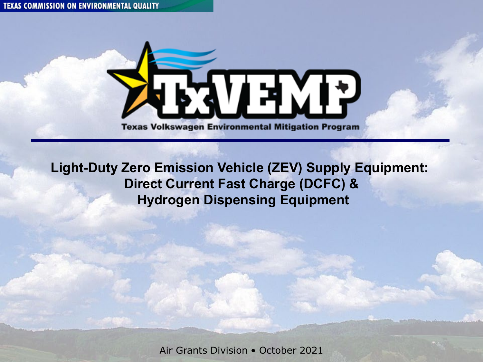

**Light-Duty Zero Emission Vehicle (ZEV) Supply Equipment: Direct Current Fast Charge (DCFC) & Hydrogen Dispensing Equipment** 

Air Grants Division • October 2021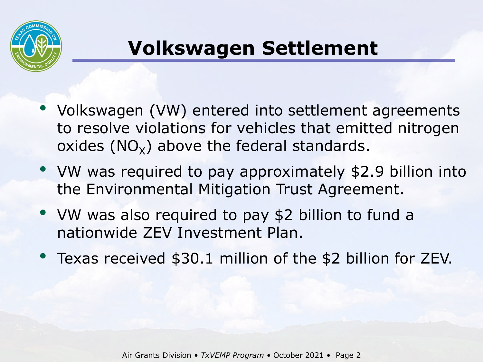

#### **Volkswagen Settlement**

- to resolve violations for vehicles that emitted nitrogen • Volkswagen (VW) entered into settlement agreements oxides  $(NO_x)$  above the federal standards.
- the Environmental Mitigation Trust Agreement. • VW was required to pay approximately \$2.9 billion into
- • VW was also required to pay \$2 billion to fund a nationwide ZEV Investment Plan.
- Texas received \$30.1 million of the \$2 billion for ZEV.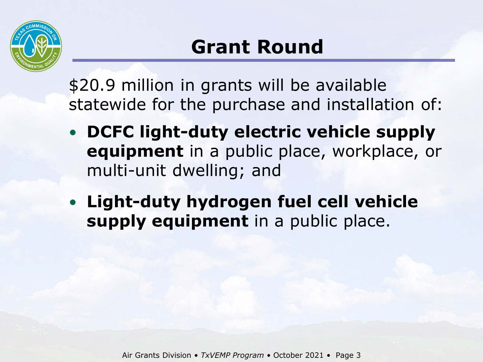

 \$20.9 million in grants will be available statewide for the purchase and installation of:

- **DCFC light-duty electric vehicle supply equipment** in a public place, workplace, or multi-unit dwelling; and
- **Light-duty hydrogen fuel cell vehicle**  supply equipment in a public place.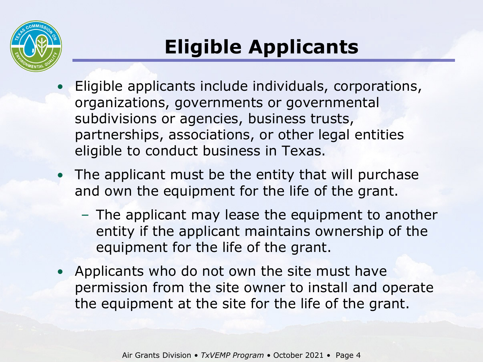

# **Eligible Applicants**

- subdivisions or agencies, business trusts, partnerships, associations, or other legal entities eligible to conduct business in Texas. • Eligible applicants include individuals, corporations, organizations, governments or governmental
- • The applicant must be the entity that will purchase and own the equipment for the life of the grant.
	- – The applicant may lease the equipment to another entity if the applicant maintains ownership of the equipment for the life of the grant.
- • Applicants who do not own the site must have permission from the site owner to install and operate the equipment at the site for the life of the grant.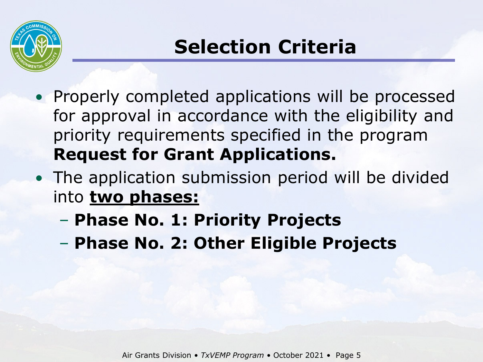

- for approval in accordance with the eligibility and • Properly completed applications will be processed priority requirements specified in the program **Request for Grant Applications.**
- • The application submission period will be divided into **two phases:** 
	- **Phase No. 1: Priority Projects**
	- **Phase No. 2: Other Eligible Projects**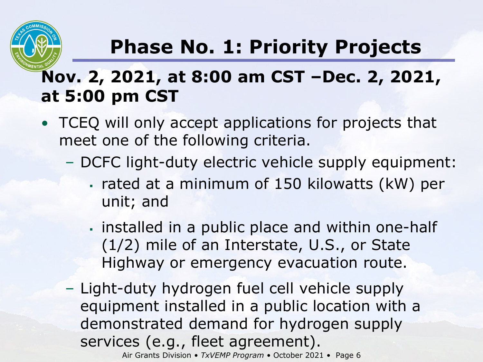

## **Phase No. 1: Priority Projects**

#### **Nov. 2, 2021, at 8:00 am CST –Dec. 2, 2021, at 5:00 pm CST**

- • TCEQ will only accept applications for projects that meet one of the following criteria.
	- – DCFC light-duty electric vehicle supply equipment:
		- rated at a minimum of 150 kilowatts (kW) per unit; and
		- installed in a public place and within one-half (1/2) mile of an Interstate, U.S., or State Highway or emergency evacuation route.
	- Air Grants Division TxVEMP Program October 2021 Page 6 equipment installed in a public location with a Services (e.g., fleet agreement).<br>Air Grants Division • *TxVEMP Program* • October 2021 • Page 6 – Light-duty hydrogen fuel cell vehicle supply demonstrated demand for hydrogen supply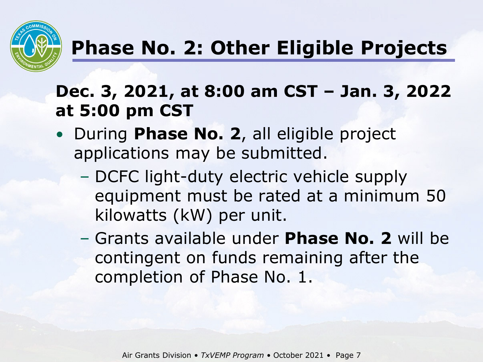

#### **Phase No. 2: Other Eligible Projects**

#### **Dec. 3, 2021, at 8:00 am CST – Jan. 3, 2022 at 5:00 pm CST**

- • During **Phase No. 2**, all eligible project applications may be submitted.
	- equipment must be rated at a minimum 50 kilowatts (kW) per unit. – DCFC light-duty electric vehicle supply
	- completion of Phase No. 1. – Grants available under **Phase No. 2** will be contingent on funds remaining after the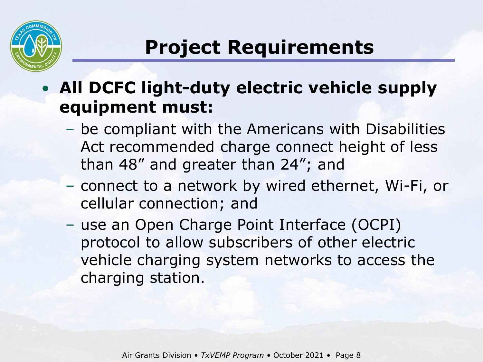

### **Project Requirements**

#### • **All DCFC light-duty electric vehicle supply equipment must:**

- – be compliant with the Americans with Disabilities Act recommended charge connect height of less than 48" and greater than 24"; and
- – connect to a network by wired ethernet, Wi-Fi, or cellular connection; and
- protocol to allow subscribers of other electric – use an Open Charge Point Interface (OCPI) vehicle charging system networks to access the charging station.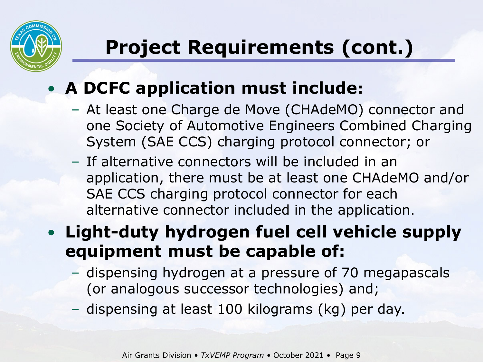

# **Project Requirements (cont.)**

#### • **A DCFC application must include:**

- – At least one Charge de Move (CHAdeMO) connector and one Society of Automotive Engineers Combined Charging System (SAE CCS) charging protocol connector; or
- – If alternative connectors will be included in an application, there must be at least one CHAdeMO and/or SAE CCS charging protocol connector for each alternative connector included in the application.

#### • **Light-duty hydrogen fuel cell vehicle supply equipment must be capable of:**

- – dispensing hydrogen at a pressure of 70 megapascals (or analogous successor technologies) and;
- dispensing at least 100 kilograms (kg) per day.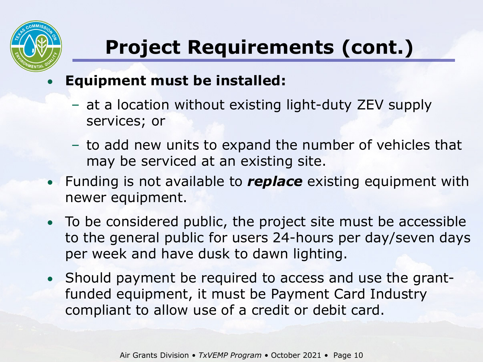

# **Project Requirements (cont.)**

#### • **Equipment must be installed:**

- – at a location without existing light-duty ZEV supply services; or
- – to add new units to expand the number of vehicles that may be serviced at an existing site.
- • Funding is not available to *replace* existing equipment with newer equipment.
- • To be considered public, the project site must be accessible per week and have dusk to dawn lighting. to the general public for users 24-hours per day/seven days
- • Should payment be required to access and use the grant- funded equipment, it must be Payment Card Industry compliant to allow use of a credit or debit card.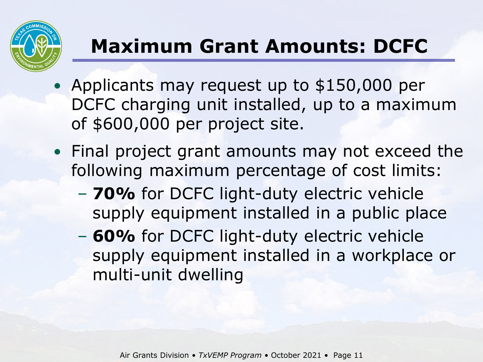

# **Maximum Grant Amounts: DCFC**

- DCFC charging unit installed, up to a maximum of \$600,000 per project site. • Applicants may request up to \$150,000 per
- • Final project grant amounts may not exceed the following maximum percentage of cost limits:
	- supply equipment installed in a public place – **70%** for DCFC light-duty electric vehicle
	- supply equipment installed in a workplace or – **60%** for DCFC light-duty electric vehicle multi-unit dwelling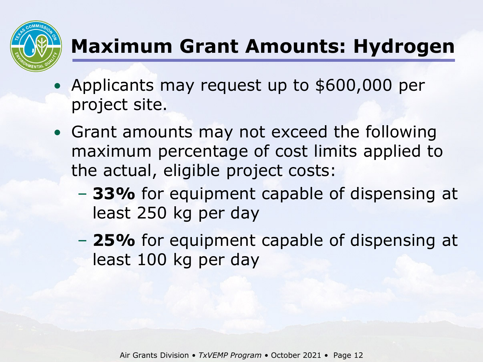

## **Maximum Grant Amounts: Hydrogen**

- Applicants may request up to \$600,000 per project site.
- • Grant amounts may not exceed the following maximum percentage of cost limits applied to the actual, eligible project costs:
	- least 250 kg per day – **33%** for equipment capable of dispensing at
	- least 100 kg per day – **25%** for equipment capable of dispensing at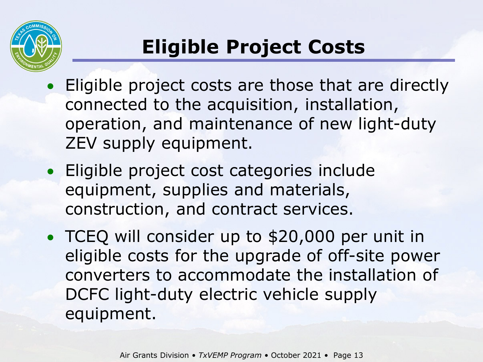

# **Eligible Project Costs**

- Eligible project costs are those that are directly connected to the acquisition, installation, operation, and maintenance of new light-duty ZEV supply equipment.
- equipment, supplies and materials, construction, and contract services. • Eligible project cost categories include
- • TCEQ will consider up to \$20,000 per unit in eligible costs for the upgrade of off-site power converters to accommodate the installation of DCFC light-duty electric vehicle supply equipment.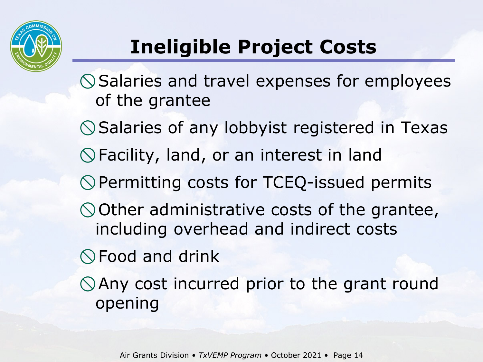

## **Ineligible Project Costs**

 Salaries and travel expenses for employees of the grantee

Salaries of any lobbyist registered in Texas

Facility, land, or an interest in land

Permitting costs for TCEQ-issued permits

Other administrative costs of the grantee, including overhead and indirect costs

Food and drink

 Any cost incurred prior to the grant round opening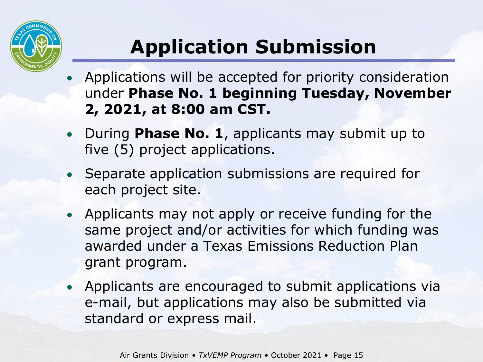

# **Application Submission**

- • Applications will be accepted for priority consideration  under **Phase No. 1 beginning Tuesday, November 2, 2021, at 8:00 am CST.**
- • During **Phase No. 1**, applicants may submit up to five (5) project applications.
- • Separate application submissions are required for each project site.
- • Applicants may not apply or receive funding for the same project and/or activities for which funding was awarded under a Texas Emissions Reduction Plan grant program.
- • Applicants are encouraged to submit applications via e-mail, but applications may also be submitted via standard or express mail.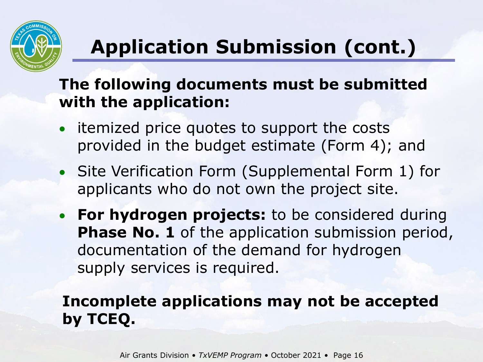

# **Application Submission (cont.)**

#### **The following documents must be submitted with the application:**

- • itemized price quotes to support the costs provided in the budget estimate (Form 4); and
- applicants who do not own the project site. • Site Verification Form (Supplemental Form 1) for
- **Phase No. 1** of the application submission period, supply services is required. • **For hydrogen projects:** to be considered during documentation of the demand for hydrogen

#### **Incomplete applications may not be accepted by TCEQ.**

Air Grants Division • *TxVEMP Program* • October 2021 • Page 16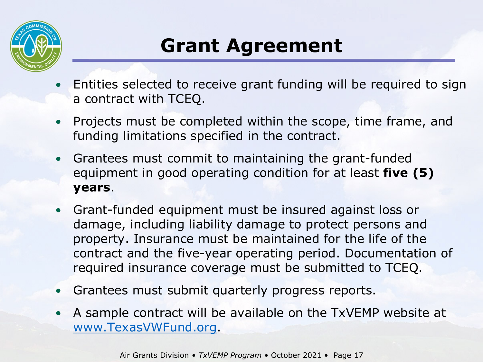

### **Grant Agreement**

- • Entities selected to receive grant funding will be required to sign a contract with TCEQ.
- • Projects must be completed within the scope, time frame, and funding limitations specified in the contract.
- equipment in good operating condition for at least **five (5)**  • Grantees must commit to maintaining the grant-funded **years**.
- • Grant-funded equipment must be insured against loss or property. Insurance must be maintained for the life of the contract and the five-year operating period. Documentation of required insurance coverage must be submitted to TCEQ. damage, including liability damage to protect persons and
- Grantees must submit quarterly progress reports.
- • A sample contract will be available on the TxVEMP website at [www.TexasVWFund.org.](http://www.texasvwfund.org/)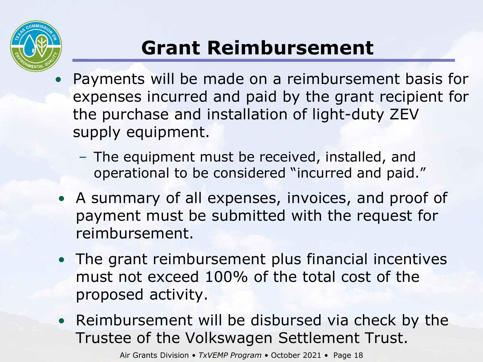

# **Grant Reimbursement**

- • Payments will be made on a reimbursement basis for expenses incurred and paid by the grant recipient for the purchase and installation of light-duty ZEV supply equipment.
	- – The equipment must be received, installed, and operational to be considered "incurred and paid."
- • A summary of all expenses, invoices, and proof of payment must be submitted with the request for reimbursement.
- • The grant reimbursement plus financial incentives must not exceed 100% of the total cost of the proposed activity.
- • Reimbursement will be disbursed via check by the Trustee of the Volkswagen Settlement Trust.

Air Grants Division • *TxVEMP Program* • October 2021 • Page 18